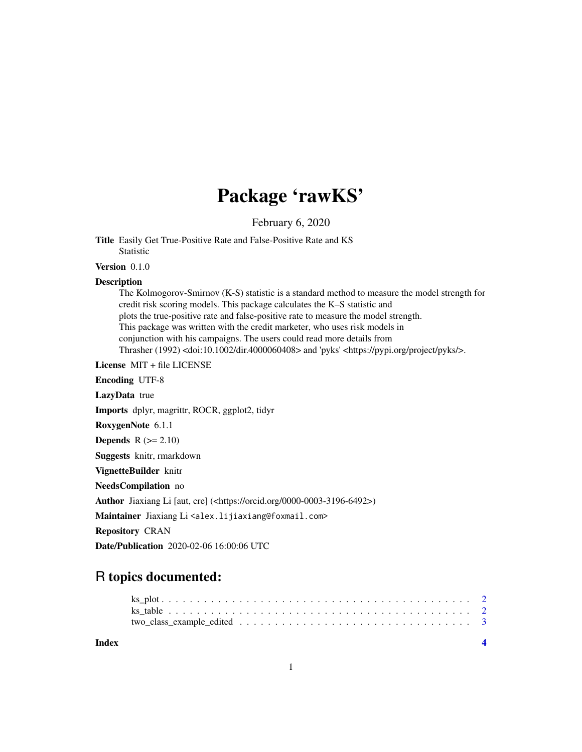# Package 'rawKS'

February 6, 2020

Title Easily Get True-Positive Rate and False-Positive Rate and KS Statistic

Version 0.1.0

#### **Description**

The Kolmogorov-Smirnov (K-S) statistic is a standard method to measure the model strength for credit risk scoring models. This package calculates the K–S statistic and plots the true-positive rate and false-positive rate to measure the model strength. This package was written with the credit marketer, who uses risk models in conjunction with his campaigns. The users could read more details from Thrasher (1992) <doi:10.1002/dir.4000060408> and 'pyks' <https://pypi.org/project/pyks/>.

License MIT + file LICENSE

Encoding UTF-8

LazyData true

Imports dplyr, magrittr, ROCR, ggplot2, tidyr

RoxygenNote 6.1.1

**Depends**  $R$  ( $>= 2.10$ )

Suggests knitr, rmarkdown

VignetteBuilder knitr

NeedsCompilation no

Author Jiaxiang Li [aut, cre] (<https://orcid.org/0000-0003-3196-6492>)

Maintainer Jiaxiang Li<alex.lijiaxiang@foxmail.com>

Repository CRAN

Date/Publication 2020-02-06 16:00:06 UTC

# R topics documented:

| Index |  |
|-------|--|
|       |  |
|       |  |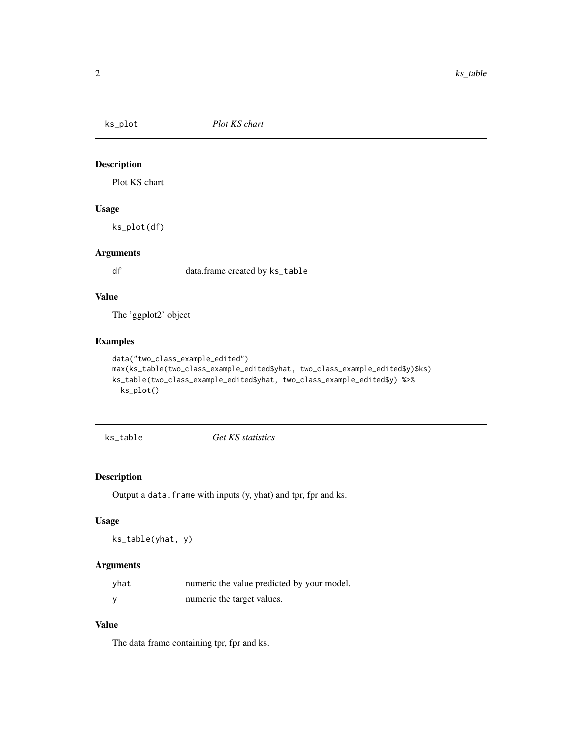<span id="page-1-0"></span>

#### Description

Plot KS chart

# Usage

ks\_plot(df)

# Arguments

df data.frame created by ks\_table

#### Value

The 'ggplot2' object

#### Examples

```
data("two_class_example_edited")
max(ks_table(two_class_example_edited$yhat, two_class_example_edited$y)$ks)
ks_table(two_class_example_edited$yhat, two_class_example_edited$y) %>%
  ks_plot()
```
#### ks\_table *Get KS statistics*

#### Description

Output a data. frame with inputs (y, yhat) and tpr, fpr and ks.

#### Usage

```
ks_table(yhat, y)
```
#### Arguments

| yhat | numeric the value predicted by your model. |
|------|--------------------------------------------|
|      | numeric the target values.                 |

#### Value

The data frame containing tpr, fpr and ks.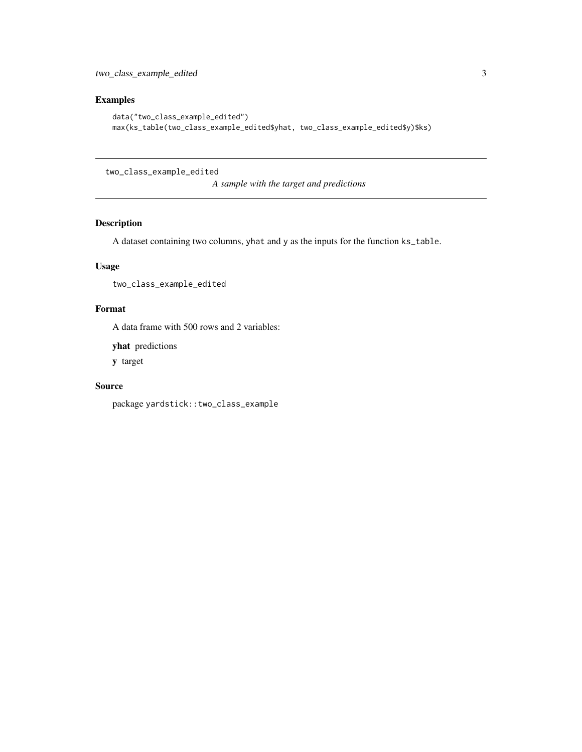# <span id="page-2-0"></span>Examples

```
data("two_class_example_edited")
max(ks_table(two_class_example_edited$yhat, two_class_example_edited$y)$ks)
```
two\_class\_example\_edited

*A sample with the target and predictions*

#### Description

A dataset containing two columns, yhat and y as the inputs for the function ks\_table.

#### Usage

two\_class\_example\_edited

# Format

A data frame with 500 rows and 2 variables:

yhat predictions

y target

#### Source

package yardstick::two\_class\_example